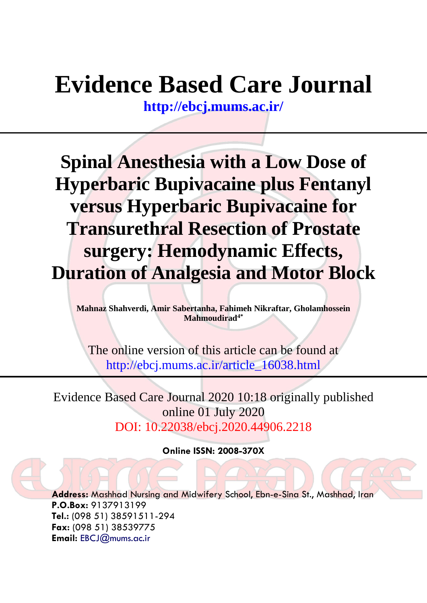# **Evidence Based Care Journal**

**<http://ebcj.mums.ac.ir/>**

**Spinal Anesthesia with a Low Dose of Hyperbaric Bupivacaine plus Fentanyl versus Hyperbaric Bupivacaine for Transurethral Resection of Prostate surgery: Hemodynamic Effects, Duration of Analgesia and Motor Block**

**Mahnaz Shahverdi, Amir Sabertanha, Fahimeh Nikraftar, Gholamhossein Mahmoudirad4\***

The online version of this article can be found at http://ebcj.mums.ac.ir/article\_16038.html

Evidence Based Care Journal 2020 10:18 originally published online 01 July 2020 DOI: 10.22038/ebcj.2020.44906.2218

**Online ISSN: 2008-370X**

**Address:** Mashhad Nursing and Midwifery School, Ebn-e-Sina St., Mashhad, Iran **P.O.Box:** 9137913199 **Tel.:** (098 51) 38591511-294 **Fax:** (098 51) 38539775 **Email:** [EBCJ@mums.ac.ir](mailto:EBCJ@mums.ac.ir)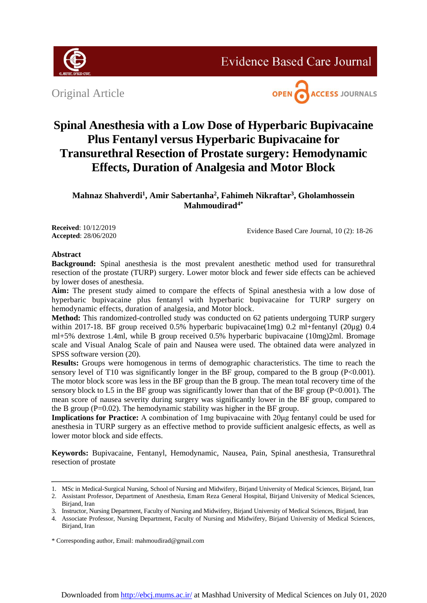

Original Article



## **Spinal Anesthesia with a Low Dose of Hyperbaric Bupivacaine Plus Fentanyl versus Hyperbaric Bupivacaine for Transurethral Resection of Prostate surgery: Hemodynamic Effects, Duration of Analgesia and Motor Block**

**Mahnaz Shahverdi<sup>1</sup> , Amir Sabertanha<sup>2</sup> , Fahimeh Nikraftar<sup>3</sup> , Gholamhossein Mahmoudirad4\***

**Received**: 10/12/2019 **Accepted**: 28/06/2020

Evidence Based Care Journal, 10 (2): 18-26

### **Abstract**

**Background:** Spinal anesthesia is the most prevalent anesthetic method used for transurethral resection of the prostate (TURP) surgery. Lower motor block and fewer side effects can be achieved by lower doses of anesthesia.

**Aim:** The present study aimed to compare the effects of Spinal anesthesia with a low dose of hyperbaric bupivacaine plus fentanyl with hyperbaric bupivacaine for TURP surgery on hemodynamic effects, duration of analgesia, and Motor block.

**Method:** This randomized-controlled study was conducted on 62 patients undergoing TURP surgery within 2017-18. BF group received 0.5% hyperbaric bupivacaine(1mg) 0.2 ml+fentanyl (20µg) 0.4 ml+5% dextrose 1.4ml, while B group received 0.5% hyperbaric bupivacaine (10mg)2ml. Bromage scale and Visual Analog Scale of pain and Nausea were used. The obtained data were analyzed in SPSS software version (20).

**Results:** Groups were homogenous in terms of demographic characteristics. The time to reach the sensory level of T10 was significantly longer in the BF group, compared to the B group (P<0.001). The motor block score was less in the BF group than the B group. The mean total recovery time of the sensory block to L5 in the BF group was significantly lower than that of the BF group (P<0.001). The mean score of nausea severity during surgery was significantly lower in the BF group, compared to the B group ( $P=0.02$ ). The hemodynamic stability was higher in the BF group.

**Implications for Practice:** A combination of 1mg bupivacaine with 20μg fentanyl could be used for anesthesia in TURP surgery as an effective method to provide sufficient analgesic effects, as well as lower motor block and side effects.

**Keywords:** Bupivacaine, Fentanyl, Hemodynamic, Nausea, Pain, Spinal anesthesia, Transurethral resection of prostate

<sup>1.</sup> MSc in Medical-Surgical Nursing, School of Nursing and Midwifery, Birjand University of Medical Sciences, Birjand, Iran

<sup>2.</sup> Assistant Professor, Department of Anesthesia, Emam Reza General Hospital, Birjand University of Medical Sciences, Birjand, Iran

<sup>3.</sup> Instructor, Nursing Department, Faculty of Nursing and Midwifery, Birjand University of Medical Sciences, Birjand, Iran

<sup>4.</sup> Associate Professor, Nursing Department, Faculty of Nursing and Midwifery, Birjand University of Medical Sciences, Birjand, Iran

<sup>\*</sup> Corresponding author, Email: mahmoudirad@gmail.com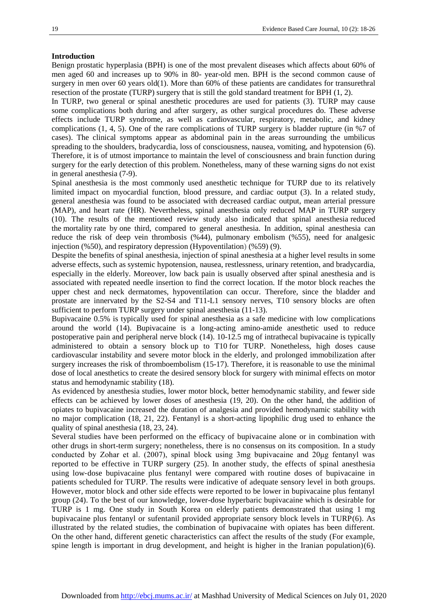#### **Introduction**

Benign prostatic hyperplasia (BPH) is one of the most prevalent diseases which affects about 60% of men aged 60 and increases up to 90% in 80- year-old men. BPH is the second common cause of surgery in men over 60 years old(1). More than 60% of these patients are candidates for transurethral resection of the prostate (TURP) surgery that is still the gold standard treatment for BPH (1, 2).

In TURP, two general or spinal anesthetic procedures are used for patients (3). TURP may cause some complications both during and after surgery, as other surgical procedures do. These adverse effects include TURP syndrome, as well as cardiovascular, respiratory, metabolic, and kidney complications (1, 4, 5). One of the rare complications of TURP surgery is bladder rupture (in %7 of cases). The clinical symptoms appear as abdominal pain in the areas surrounding the umbilicus spreading to the shoulders, bradycardia, loss of consciousness, nausea, vomiting, and hypotension (6). Therefore, it is of utmost importance to maintain the level of consciousness and brain function during surgery for the early detection of this problem. Nonetheless, many of these warning signs do not exist in general anesthesia (7-9).

Spinal anesthesia is the most commonly used anesthetic technique for TURP due to its relatively limited impact on myocardial function, blood pressure, and cardiac output (3). In a related study, general anesthesia was found to be associated with decreased cardiac output, mean arterial pressure (MAP), and heart rate (HR). Nevertheless, spinal anesthesia only reduced MAP in TURP surgery (10). The results of the mentioned review study also indicated that spinal anesthesia reduced the mortality rate by one third, compared to general anesthesia. In addition, spinal anesthesia can reduce the risk of deep vein thrombosis (%44), pulmonary embolism (%55), need for analgesic injection (%50), and respiratory depression (Hypoventilation) (%59) (9).

Despite the benefits of spinal anesthesia, injection of spinal anesthesia at a higher level results in some adverse effects, such as systemic hypotension, nausea, restlessness, urinary retention, and bradycardia, especially in the elderly. Moreover, low back pain is usually observed after spinal anesthesia and is associated with repeated needle insertion to find the correct location. If the motor block reaches the upper chest and neck dermatomes, hypoventilation can occur. Therefore, since the bladder and prostate are innervated by the S2-S4 and T11-L1 sensory nerves, T10 sensory blocks are often sufficient to perform TURP surgery under spinal anesthesia (11-13).

Bupivacaine 0.5% is typically used for spinal anesthesia as a safe medicine with low complications around the world (14). Bupivacaine is a long-acting amino-amide anesthetic used to reduce postoperative pain and peripheral nerve block (14). 10-12.5 mg of intrathecal bupivacaine is typically administered to obtain a sensory block up to T10 for TURP. Nonetheless, high doses cause cardiovascular instability and severe motor block in the elderly, and prolonged immobilization after surgery increases the risk of thromboembolism (15-17). Therefore, it is reasonable to use the minimal dose of local anesthetics to create the desired sensory block for surgery with minimal effects on motor status and hemodynamic stability (18).

As evidenced by anesthesia studies, lower motor block, better hemodynamic stability, and fewer side effects can be achieved by lower doses of anesthesia (19, 20). On the other hand, the addition of opiates to bupivacaine increased the duration of analgesia and provided hemodynamic stability with no major complication (18, 21, 22). Fentanyl is a short-acting lipophilic drug used to enhance the quality of spinal anesthesia (18, 23, 24).

Several studies have been performed on the efficacy of bupivacaine alone or in combination with other drugs in short-term surgery; nonetheless, there is no consensus on its composition. In a study conducted by Zohar et al. (2007), spinal block using 3mg bupivacaine and 20μg fentanyl was reported to be effective in TURP surgery (25). In another study, the effects of spinal anesthesia using low‐dose bupivacaine plus fentanyl were compared with routine doses of bupivacaine in patients scheduled for TURP. The results were indicative of adequate sensory level in both groups. However, motor block and other side effects were reported to be lower in bupivacaine plus fentanyl group (24). To the best of our knowledge, lower-dose hyperbaric bupivacaine which is desirable for TURP is 1 mg. One study in South Korea on elderly patients demonstrated that using 1 mg bupivacaine plus fentanyl or sufentanil provided appropriate sensory block levels in TURP(6). As illustrated by the related studies, the combination of bupivacaine with opiates has been different. On the other hand, different genetic characteristics can affect the results of the study (For example, spine length is important in drug development, and height is higher in the Iranian population)(6).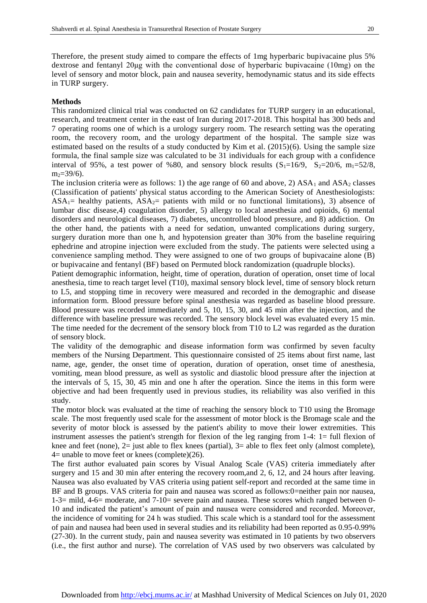Therefore, the present study aimed to compare the effects of 1mg hyperbaric bupivacaine plus 5% dextrose and fentanyl 20μg with the conventional dose of hyperbaric bupivacaine (10mg) on the level of sensory and motor block, pain and nausea severity, hemodynamic status and its side effects in TURP surgery.

#### **Methods**

This randomized clinical trial was conducted on 62 candidates for TURP surgery in an educational, research, and treatment center in the east of Iran during 2017-2018. This hospital has 300 beds and 7 operating rooms one of which is a urology surgery room. The research setting was the operating room, the recovery room, and the urology department of the hospital. The sample size was estimated based on the results of a study conducted by Kim et al. (2015)(6). Using the sample size formula, the final sample size was calculated to be 31 individuals for each group with a confidence interval of 95%, a test power of %80, and sensory block results  $(S_1=16/9, S_2=20/6, m_1=52/8,$  $m<sub>2</sub>=39/6$ ).

The inclusion criteria were as follows: 1) the age range of 60 and above, 2)  $ASA_1$  and  $ASA_2$  classes (Classification of patients' physical status according to the American Society of Anesthesiologists:  $ASA<sub>1</sub>=$  healthy patients,  $ASA<sub>2</sub>=$  patients with mild or no functional limitations), 3) absence of lumbar disc disease,4) coagulation disorder, 5) allergy to local anesthesia and opioids, 6) mental disorders and neurological diseases, 7) diabetes, uncontrolled blood pressure, and 8) addiction. On the other hand, the patients with a need for sedation, unwanted complications during surgery, surgery duration more than one h, and hypotension greater than 30% from the baseline requiring ephedrine and atropine injection were excluded from the study. The patients were selected using a convenience sampling method. They were assigned to one of two groups of bupivacaine alone (B) or bupivacaine and fentanyl (BF) based on Permuted block randomization (quadruple blocks).

Patient demographic information, height, time of operation, duration of operation, onset time of local anesthesia, time to reach target level (T10), maximal sensory block level, time of sensory block return to L5, and stopping time in recovery were measured and recorded in the demographic and disease information form. Blood pressure before spinal anesthesia was regarded as baseline blood pressure. Blood pressure was recorded immediately and 5, 10, 15, 30, and 45 min after the injection, and the difference with baseline pressure was recorded. The sensory block level was evaluated every 15 min. The time needed for the decrement of the sensory block from T10 to L2 was regarded as the duration of sensory block.

The validity of the demographic and disease information form was confirmed by seven faculty members of the Nursing Department. This questionnaire consisted of 25 items about first name, last name, age, gender, the onset time of operation, duration of operation, onset time of anesthesia, vomiting, mean blood pressure, as well as systolic and diastolic blood pressure after the injection at the intervals of 5, 15, 30, 45 min and one h after the operation. Since the items in this form were objective and had been frequently used in previous studies, its reliability was also verified in this study.

The motor block was evaluated at the time of reaching the sensory block to T10 using the Bromage scale. The most frequently used scale for the assessment of motor block is the Bromage scale and the severity of motor block is assessed by the patient's ability to move their lower extremities. This instrument assesses the patient's strength for flexion of the leg ranging from 1-4: 1= full flexion of knee and feet (none),  $2=$  just able to flex knees (partial),  $3=$  able to flex feet only (almost complete),  $4=$  unable to move feet or knees (complete)(26).

The first author evaluated pain scores by Visual Analog Scale (VAS) criteria immediately after surgery and 15 and 30 min after entering the recovery room,and 2, 6, 12, and 24 hours after leaving. Nausea was also evaluated by VAS criteria using patient self-report and recorded at the same time in BF and B groups. VAS criteria for pain and nausea was scored as follows:0=neither pain nor nausea, 1-3= mild, 4-6= moderate, and 7-10= severe pain and nausea. These scores which ranged between 0- 10 and indicated the patient's amount of pain and nausea were considered and recorded. Moreover, the incidence of vomiting for 24 h was studied. This scale which is a standard tool for the assessment of pain and nausea had been used in several studies and its reliability had been reported as 0.95-0.99% (27-30). In the current study, pain and nausea severity was estimated in 10 patients by two observers (i.e., the first author and nurse). The correlation of VAS used by two observers was calculated by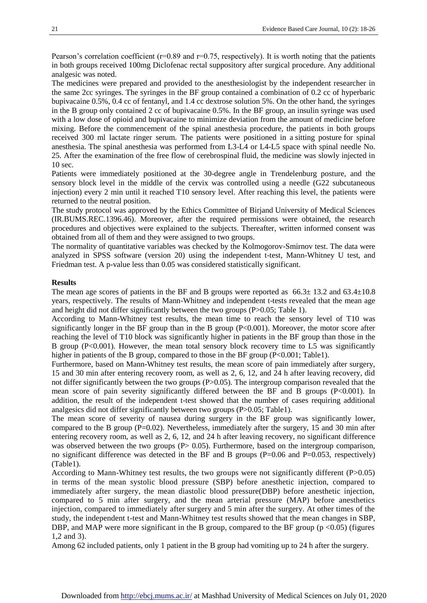Pearson's correlation coefficient ( $r=0.89$  and  $r=0.75$ , respectively). It is worth noting that the patients in both groups received 100mg Diclofenac rectal suppository after surgical procedure. Any additional analgesic was noted.

The medicines were prepared and provided to the anesthesiologist by the independent researcher in the same 2cc syringes. The syringes in the BF group contained a combination of 0.2 cc of hyperbaric bupivacaine 0.5%, 0.4 cc of fentanyl, and 1.4 cc dextrose solution 5%. On the other hand, the syringes in the B group only contained 2 cc of bupivacaine 0.5%. In the BF group, an insulin syringe was used with a low dose of opioid and bupivacaine to minimize deviation from the amount of medicine before mixing. Before the commencement of the spinal anesthesia procedure, the patients in both groups received 300 ml lactate ringer serum. The patients were positioned in a sitting posture for spinal anesthesia. The spinal anesthesia was performed from L3-L4 or L4-L5 space with spinal needle No. 25. After the examination of the free flow of cerebrospinal fluid, the medicine was slowly injected in 10 sec.

Patients were immediately positioned at the 30-degree angle in Trendelenburg posture, and the sensory block level in the middle of the cervix was controlled using a needle (G22 subcutaneous injection) every 2 min until it reached T10 sensory level. After reaching this level, the patients were returned to the neutral position.

The study protocol was approved by the Ethics Committee of Birjand University of Medical Sciences (IR.BUMS.REC.1396.46). Moreover, after the required permissions were obtained, the research procedures and objectives were explained to the subjects. Thereafter, written informed consent was obtained from all of them and they were assigned to two groups.

The normality of quantitative variables was checked by the Kolmogorov-Smirnov test. The data were analyzed in SPSS software (version 20) using the independent t-test, Mann-Whitney U test, and Friedman test. A p-value less than 0.05 was considered statistically significant.

#### **Results**

The mean age scores of patients in the BF and B groups were reported as  $66.3 \pm 13.2$  and  $63.4 \pm 10.8$ years, respectively. The results of Mann-Whitney and independent t-tests revealed that the mean age and height did not differ significantly between the two groups (P>0.05; Table 1).

According to Mann-Whitney test results, the mean time to reach the sensory level of T10 was significantly longer in the BF group than in the B group (P<0.001). Moreover, the motor score after reaching the level of T10 block was significantly higher in patients in the BF group than those in the B group (P<0.001). However, the mean total sensory block recovery time to L5 was significantly higher in patients of the B group, compared to those in the BF group (P<0.001; Table1).

Furthermore, based on Mann-Whitney test results, the mean score of pain immediately after surgery, 15 and 30 min after entering recovery room, as well as 2, 6, 12, and 24 h after leaving recovery, did not differ significantly between the two groups (P>0.05). The intergroup comparison revealed that the mean score of pain severity significantly differed between the BF and B groups (P<0.001). In addition, the result of the independent t-test showed that the number of cases requiring additional analgesics did not differ significantly between two groups (P>0.05; Table1).

The mean score of severity of nausea during surgery in the BF group was significantly lower, compared to the B group ( $P=0.02$ ). Nevertheless, immediately after the surgery, 15 and 30 min after entering recovery room, as well as 2, 6, 12, and 24 h after leaving recovery, no significant difference was observed between the two groups  $(P> 0.05)$ . Furthermore, based on the intergroup comparison, no significant difference was detected in the BF and B groups ( $P=0.06$  and  $P=0.053$ , respectively) (Table1).

According to Mann-Whitney test results, the two groups were not significantly different (P>0.05) in terms of the mean systolic blood pressure (SBP) before anesthetic injection, compared to immediately after surgery, the mean diastolic blood pressure(DBP) before anesthetic injection, compared to 5 min after surgery, and the mean arterial pressure (MAP) before anesthetics injection, compared to immediately after surgery and 5 min after the surgery. At other times of the study, the independent t-test and Mann-Whitney test results showed that the mean changes in SBP, DBP, and MAP were more significant in the B group, compared to the BF group ( $p \le 0.05$ ) (figures 1,2 and 3).

Among 62 included patients, only 1 patient in the B group had vomiting up to 24 h after the surgery.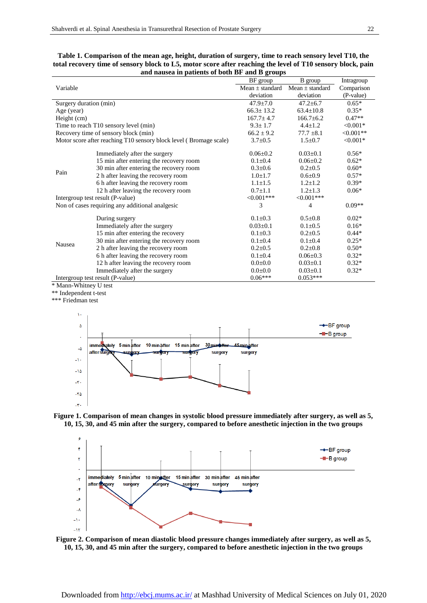| and hausea in patients of both Br and B groups                     |                                         |                     |                     |            |
|--------------------------------------------------------------------|-----------------------------------------|---------------------|---------------------|------------|
| Variable                                                           |                                         | BF group            | B group             | Intragroup |
|                                                                    |                                         | Mean $\pm$ standard | Mean $\pm$ standard | Comparison |
|                                                                    |                                         | deviation           | deviation           | (P-value)  |
| Surgery duration (min)                                             |                                         | $47.9 + 7.0$        | $47.2 \pm 6.7$      | $0.65*$    |
| Age (year)                                                         |                                         | $66.3 \pm 13.2$     | $63.4 \pm 10.8$     | $0.35*$    |
| Height (cm)                                                        |                                         | $167.7 \pm 4.7$     | $166.7 \pm 6.2$     | $0.47**$   |
| Time to reach T10 sensory level (min)                              |                                         | $9.3 \pm 1.7$       | $4.4 \pm 1.2$       | $< 0.001*$ |
| Recovery time of sensory block (min)                               |                                         | $66.2 \pm 9.2$      | $77.7 \pm 8.1$      | $<0.001**$ |
| Motor score after reaching T10 sensory block level (Bromage scale) |                                         | $3.7 \pm 0.5$       | $1.5 \pm 0.7$       | $< 0.001*$ |
| Pain                                                               | Immediately after the surgery           | $0.06 \pm 0.2$      | $0.03 \pm 0.1$      | $0.56*$    |
|                                                                    | 15 min after entering the recovery room | $0.1 \pm 0.4$       | $0.06 \pm 0.2$      | $0.62*$    |
|                                                                    | 30 min after entering the recovery room | $0.3 \pm 0.6$       | $0.2 \pm 0.5$       | $0.60*$    |
|                                                                    | 2 h after leaving the recovery room     | $1.0 \pm 1.7$       | $0.6 \pm 0.9$       | $0.57*$    |
|                                                                    | 6 h after leaving the recovery room     | $1.1 \pm 1.5$       | $1.2 \pm 1.2$       | $0.39*$    |
|                                                                    | 12 h after leaving the recovery room    | $0.7 \pm 1.1$       | $1.2 \pm 1.3$       | $0.06*$    |
| Intergroup test result (P-value)                                   |                                         | $<0.001***$         | $< 0.001$ ***       |            |
| Non of cases requiring any additional analgesic                    |                                         | 3                   | 4                   | $0.09**$   |
| Nausea                                                             | During surgery                          | $0.1 \pm 0.3$       | $0.5 \pm 0.8$       | $0.02*$    |
|                                                                    | Immediately after the surgery           | $0.03 \pm 0.1$      | $0.1 \pm 0.5$       | $0.16*$    |
|                                                                    | 15 min after entering the recovery      | $0.1 \pm 0.3$       | $0.2 \pm 0.5$       | $0.44*$    |
|                                                                    | 30 min after entering the recovery room | $0.1 \pm 0.4$       | $0.1 \pm 0.4$       | $0.25*$    |
|                                                                    | 2 h after leaving the recovery room     | $0.2 \pm 0.5$       | $0.2 \pm 0.8$       | $0.50*$    |
|                                                                    | 6 h after leaving the recovery room     | $0.1 \pm 0.4$       | $0.06 \pm 0.3$      | $0.32*$    |
|                                                                    | 12 h after leaving the recovery room    | $0.0 \pm 0.0$       | $0.03 \pm 0.1$      | $0.32*$    |
|                                                                    | Immediately after the surgery           | $0.0 + 0.0$         | $0.03 \pm 0.1$      | $0.32*$    |
| Intergroup test result (P-value)                                   |                                         | $0.06***$           | $0.053***$          |            |

| Table 1. Comparison of the mean age, height, duration of surgery, time to reach sensory level T10, the      |
|-------------------------------------------------------------------------------------------------------------|
| total recovery time of sensory block to L5, motor score after reaching the level of T10 sensory block, pain |
| and nausea in patients of both BF and B groups                                                              |

\* Mann-Whitney U test

\*\* Independent t-test

\*\*\* Friedman test







**Figure 2. Comparison of mean diastolic blood pressure changes immediately after surgery, as well as 5, 10, 15, 30, and 45 min after the surgery, compared to before anesthetic injection in the two groups**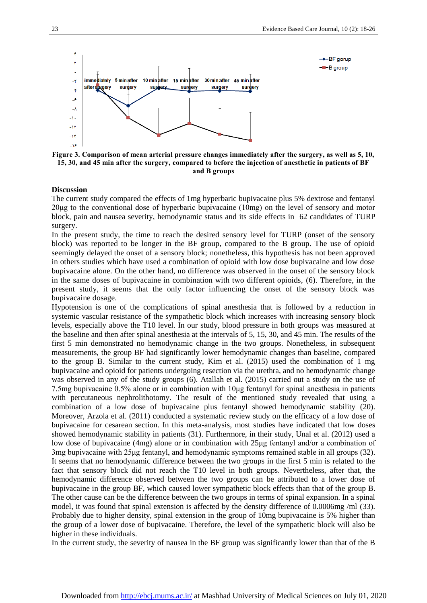

**Figure 3. Comparison of mean arterial pressure changes immediately after the surgery, as well as 5, 10, 15, 30, and 45 min after the surgery, compared to before the injection of anesthetic in patients of BF and B groups**

#### **Discussion**

The current study compared the effects of 1mg hyperbaric bupivacaine plus 5% dextrose and fentanyl 20μg to the conventional dose of hyperbaric bupivacaine (10mg) on the level of sensory and motor block, pain and nausea severity, hemodynamic status and its side effects in 62 candidates of TURP surgery.

In the present study, the time to reach the desired sensory level for TURP (onset of the sensory block) was reported to be longer in the BF group, compared to the B group. The use of opioid seemingly delayed the onset of a sensory block; nonetheless, this hypothesis has not been approved in others studies which have used a combination of opioid with low dose bupivacaine and low dose bupivacaine alone. On the other hand, no difference was observed in the onset of the sensory block in the same doses of bupivacaine in combination with two different opioids, (6). Therefore, in the present study, it seems that the only factor influencing the onset of the sensory block was bupivacaine dosage.

Hypotension is one of the complications of spinal anesthesia that is followed by a reduction in systemic vascular resistance of the sympathetic block which increases with increasing sensory block levels, especially above the T10 level. In our study, blood pressure in both groups was measured at the baseline and then after spinal anesthesia at the intervals of 5, 15, 30, and 45 min. The results of the first 5 min demonstrated no hemodynamic change in the two groups. Nonetheless, in subsequent measurements, the group BF had significantly lower hemodynamic changes than baseline, compared to the group B. Similar to the current study, Kim et al. (2015) used the combination of 1 mg bupivacaine and opioid for patients undergoing resection via the urethra, and no hemodynamic change was observed in any of the study groups (6). Atallah et al. (2015) carried out a study on the use of 7.5mg bupivacaine 0.5% alone or in combination with 10μg fentanyl for spinal anesthesia in patients with percutaneous nephrolithotomy. The result of the mentioned study revealed that using a combination of a low dose of bupivacaine plus fentanyl showed hemodynamic stability (20). Moreover, Arzola et al. (2011) conducted a systematic review study on the efficacy of a low dose of bupivacaine for cesarean section. In this meta-analysis, most studies have indicated that low doses showed hemodynamic stability in patients (31). Furthermore, in their study, Unal et al. (2012) used a low dose of bupivacaine (4mg) alone or in combination with 25μg fentanyl and/or a combination of 3mg bupivacaine with 25μg fentanyl, and hemodynamic symptoms remained stable in all groups (32). It seems that no hemodynamic difference between the two groups in the first 5 min is related to the fact that sensory block did not reach the T10 level in both groups. Nevertheless, after that, the hemodynamic difference observed between the two groups can be attributed to a lower dose of bupivacaine in the group BF, which caused lower sympathetic block effects than that of the group B. The other cause can be the difference between the two groups in terms of spinal expansion. In a spinal model, it was found that spinal extension is affected by the density difference of 0.0006mg /ml (33). Probably due to higher density, spinal extension in the group of 10mg bupivacaine is 5% higher than the group of a lower dose of bupivacaine. Therefore, the level of the sympathetic block will also be higher in these individuals.

In the current study, the severity of nausea in the BF group was significantly lower than that of the B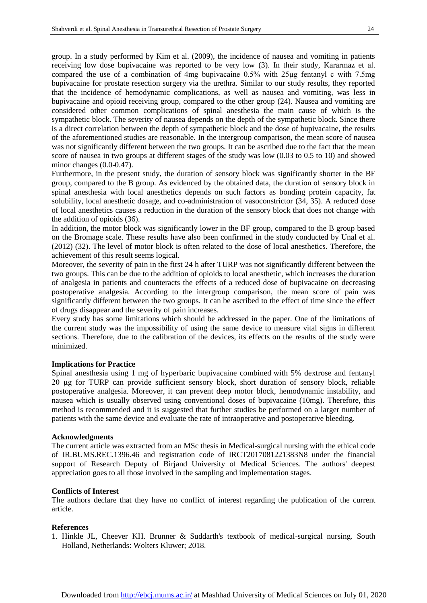group. In a study performed by Kim et al. (2009), the incidence of nausea and vomiting in patients receiving low dose bupivacaine was reported to be very low (3). In their study, Kararmaz et al. compared the use of a combination of 4mg bupivacaine 0.5% with 25μg fentanyl c with 7.5mg bupivacaine for prostate resection surgery via the urethra. Similar to our study results, they reported that the incidence of hemodynamic complications, as well as nausea and vomiting, was less in bupivacaine and opioid receiving group, compared to the other group (24). Nausea and vomiting are considered other common complications of spinal anesthesia the main cause of which is the sympathetic block. The severity of nausea depends on the depth of the sympathetic block. Since there is a direct correlation between the depth of sympathetic block and the dose of bupivacaine, the results of the aforementioned studies are reasonable. In the intergroup comparison, the mean score of nausea was not significantly different between the two groups. It can be ascribed due to the fact that the mean score of nausea in two groups at different stages of the study was low (0.03 to 0.5 to 10) and showed minor changes (0.0-0.47).

Furthermore, in the present study, the duration of sensory block was significantly shorter in the BF group, compared to the B group. As evidenced by the obtained data, the duration of sensory block in spinal anesthesia with local anesthetics depends on such factors as bonding protein capacity, fat solubility, local anesthetic dosage, and co-administration of vasoconstrictor (34, 35). A reduced dose of local anesthetics causes a reduction in the duration of the sensory block that does not change with the addition of opioids (36).

In addition, the motor block was significantly lower in the BF group, compared to the B group based on the Bromage scale. These results have also been confirmed in the study conducted by Unal et al. (2012) (32). The level of motor block is often related to the dose of local anesthetics. Therefore, the achievement of this result seems logical.

Moreover, the severity of pain in the first 24 h after TURP was not significantly different between the two groups. This can be due to the addition of opioids to local anesthetic, which increases the duration of analgesia in patients and counteracts the effects of a reduced dose of bupivacaine on decreasing postoperative analgesia. According to the intergroup comparison, the mean score of pain was significantly different between the two groups. It can be ascribed to the effect of time since the effect of drugs disappear and the severity of pain increases.

Every study has some limitations which should be addressed in the paper. One of the limitations of the current study was the impossibility of using the same device to measure vital signs in different sections. Therefore, due to the calibration of the devices, its effects on the results of the study were minimized.

#### **Implications for Practice**

Spinal anesthesia using 1 mg of hyperbaric bupivacaine combined with 5% dextrose and fentanyl 20 μg for TURP can provide sufficient sensory block, short duration of sensory block, reliable postoperative analgesia. Moreover, it can prevent deep motor block, hemodynamic instability, and nausea which is usually observed using conventional doses of bupivacaine (10mg). Therefore, this method is recommended and it is suggested that further studies be performed on a larger number of patients with the same device and evaluate the rate of intraoperative and postoperative bleeding.

#### **Acknowledgments**

The current article was extracted from an MSc thesis in Medical-surgical nursing with the ethical code of IR.BUMS.REC.1396.46 and registration code of IRCT2017081221383N8 under the financial support of Research Deputy of Birjand University of Medical Sciences. The authors' deepest appreciation goes to all those involved in the sampling and implementation stages.

#### **Conflicts of Interest**

The authors declare that they have no conflict of interest regarding the publication of the current article.

#### **References**

1. Hinkle JL, Cheever KH. Brunner & Suddarth's textbook of medical-surgical nursing. South Holland, Netherlands: Wolters Kluwer; 2018.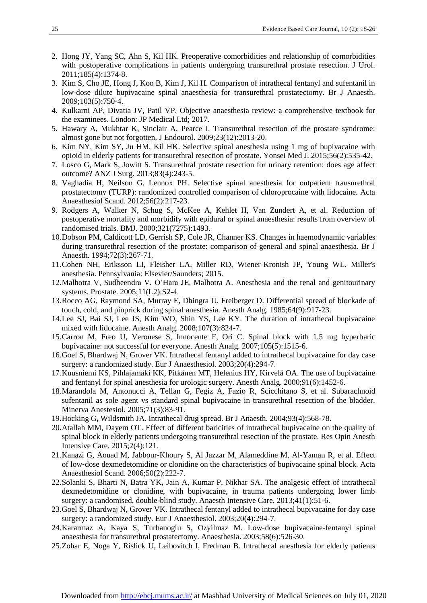- 2. Hong JY, Yang SC, Ahn S, Kil HK. Preoperative comorbidities and relationship of comorbidities with postoperative complications in patients undergoing transurethral prostate resection. J Urol. 2011;185(4):1374-8.
- 3. Kim S, Cho JE, Hong J, Koo B, Kim J, Kil H. Comparison of intrathecal fentanyl and sufentanil in low-dose dilute bupivacaine spinal anaesthesia for transurethral prostatectomy. Br J Anaesth. 2009;103(5):750-4.
- 4. Kulkarni AP, Divatia JV, Patil VP. Objective anaesthesia review: a comprehensive textbook for the examinees. London: JP Medical Ltd; 2017.
- 5. Hawary A, Mukhtar K, Sinclair A, Pearce I. Transurethral resection of the prostate syndrome: almost gone but not forgotten. J Endourol. 2009;23(12):2013-20.
- 6. Kim NY, Kim SY, Ju HM, Kil HK. Selective spinal anesthesia using 1 mg of bupivacaine with opioid in elderly patients for transurethral resection of prostate. Yonsei Med J. 2015;56(2):535-42.
- 7. Losco G, Mark S, Jowitt S. Transurethral prostate resection for urinary retention: does age affect outcome? ANZ J Surg. 2013;83(4):243-5.
- 8. Vaghadia H, Neilson G, Lennox PH. Selective spinal anesthesia for outpatient transurethral prostatectomy (TURP): randomized controlled comparison of chloroprocaine with lidocaine. Acta Anaesthesiol Scand. 2012;56(2):217-23.
- 9. Rodgers A, Walker N, Schug S, McKee A, Kehlet H, Van Zundert A, et al. Reduction of postoperative mortality and morbidity with epidural or spinal anaesthesia: results from overview of randomised trials. BMJ. 2000;321(7275):1493.
- 10.Dobson PM, Caldicott LD, Gerrish SP, Cole JR, Channer KS. Changes in haemodynamic variables during transurethral resection of the prostate: comparison of general and spinal anaesthesia. Br J Anaesth. 1994;72(3):267-71.
- 11.Cohen NH, Eriksson LI, Fleisher LA, Miller RD, Wiener-Kronish JP, Young WL. Miller's anesthesia. Pennsylvania: Elsevier/Saunders; 2015.
- 12.Malhotra V, Sudheendra V, O'Hara JE, Malhotra A. Anesthesia and the renal and genitourinary systems. Prostate. 2005;11(L2):S2-4.
- 13.Rocco AG, Raymond SA, Murray E, Dhingra U, Freiberger D. Differential spread of blockade of touch, cold, and pinprick during spinal anesthesia. Anesth Analg. 1985;64(9):917-23.
- 14.Lee SJ, Bai SJ, Lee JS, Kim WO, Shin YS, Lee KY. The duration of intrathecal bupivacaine mixed with lidocaine. Anesth Analg. 2008;107(3):824-7.
- 15.Carron M, Freo U, Veronese S, Innocente F, Ori C. Spinal block with 1.5 mg hyperbaric bupivacaine: not successful for everyone. Anesth Analg. 2007;105(5):1515-6.
- 16.Goel S, Bhardwaj N, Grover VK. Intrathecal fentanyl added to intrathecal bupivacaine for day case surgery: a randomized study. Eur J Anaesthesiol. 2003;20(4):294-7.
- 17.Kuusniemi KS, Pihlajamäki KK, Pitkänen MT, Helenius HY, Kirvelä OA. The use of bupivacaine and fentanyl for spinal anesthesia for urologic surgery. Anesth Analg. 2000;91(6):1452-6.
- 18.Marandola M, Antonucci A, Tellan G, Fegiz A, Fazio R, Scicchitano S, et al. Subarachnoid sufentanil as sole agent vs standard spinal bupivacaine in transurethral resection of the bladder. Minerva Anestesiol. 2005;71(3):83-91.
- 19.Hocking G, Wildsmith JA. Intrathecal drug spread. Br J Anaesth. 2004;93(4):568-78.
- 20.Atallah MM, Dayem OT. Effect of different baricities of intrathecal bupivacaine on the quality of spinal block in elderly patients undergoing transurethral resection of the prostate. Res Opin Anesth Intensive Care. 2015;2(4):121.
- 21.Kanazi G, Aouad M, Jabbour‐Khoury S, Al Jazzar M, Alameddine M, Al‐Yaman R, et al. Effect of low‐dose dexmedetomidine or clonidine on the characteristics of bupivacaine spinal block. Acta Anaesthesiol Scand. 2006;50(2):222-7.
- 22.Solanki S, Bharti N, Batra YK, Jain A, Kumar P, Nikhar SA. The analgesic effect of intrathecal dexmedetomidine or clonidine, with bupivacaine, in trauma patients undergoing lower limb surgery: a randomised, double-blind study. Anaesth Intensive Care. 2013;41(1):51-6.
- 23.Goel S, Bhardwaj N, Grover VK. Intrathecal fentanyl added to intrathecal bupivacaine for day case surgery: a randomized study. Eur J Anaesthesiol. 2003;20(4):294-7.
- 24.Kararmaz A, Kaya S, Turhanoglu S, Ozyilmaz M. Low‐dose bupivacaine‐fentanyl spinal anaesthesia for transurethral prostatectomy. Anaesthesia. 2003;58(6):526-30.
- 25.Zohar E, Noga Y, Rislick U, Leibovitch I, Fredman B. Intrathecal anesthesia for elderly patients